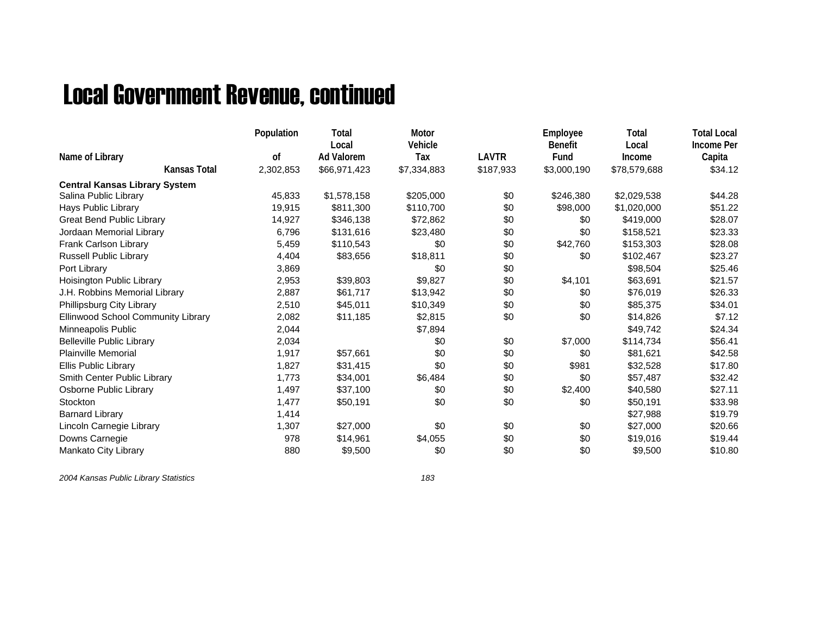## Local Government Revenue, continued

|                                      | Population    | Total<br>Local | Motor<br>Vehicle |              | Employee<br><b>Benefit</b> | Total<br>Local | <b>Total Local</b><br><b>Income Per</b> |
|--------------------------------------|---------------|----------------|------------------|--------------|----------------------------|----------------|-----------------------------------------|
| Name of Library                      | <sub>of</sub> | Ad Valorem     | Tax              | <b>LAVTR</b> | Fund                       | Income         | Capita                                  |
| <b>Kansas Total</b>                  | 2,302,853     | \$66,971,423   | \$7,334,883      | \$187,933    | \$3,000,190                | \$78,579,688   | \$34.12                                 |
| <b>Central Kansas Library System</b> |               |                |                  |              |                            |                |                                         |
| Salina Public Library                | 45,833        | \$1,578,158    | \$205,000        | \$0          | \$246,380                  | \$2,029,538    | \$44.28                                 |
| Hays Public Library                  | 19,915        | \$811,300      | \$110,700        | \$0          | \$98,000                   | \$1,020,000    | \$51.22                                 |
| <b>Great Bend Public Library</b>     | 14,927        | \$346,138      | \$72,862         | \$0          | \$0                        | \$419,000      | \$28.07                                 |
| Jordaan Memorial Library             | 6,796         | \$131,616      | \$23,480         | \$0          | \$0                        | \$158,521      | \$23.33                                 |
| Frank Carlson Library                | 5,459         | \$110,543      | \$0              | \$0          | \$42,760                   | \$153,303      | \$28.08                                 |
| Russell Public Library               | 4,404         | \$83,656       | \$18,811         | \$0          | \$0                        | \$102,467      | \$23.27                                 |
| Port Library                         | 3,869         |                | \$0              | \$0          |                            | \$98,504       | \$25.46                                 |
| Hoisington Public Library            | 2,953         | \$39,803       | \$9,827          | \$0          | \$4,101                    | \$63,691       | \$21.57                                 |
| J.H. Robbins Memorial Library        | 2,887         | \$61,717       | \$13,942         | \$0          | \$0                        | \$76,019       | \$26.33                                 |
| Phillipsburg City Library            | 2,510         | \$45,011       | \$10,349         | \$0          | \$0                        | \$85,375       | \$34.01                                 |
| Ellinwood School Community Library   | 2,082         | \$11,185       | \$2,815          | \$0          | \$0                        | \$14,826       | \$7.12                                  |
| Minneapolis Public                   | 2,044         |                | \$7,894          |              |                            | \$49,742       | \$24.34                                 |
| <b>Belleville Public Library</b>     | 2,034         |                | \$0              | \$0          | \$7,000                    | \$114,734      | \$56.41                                 |
| <b>Plainville Memorial</b>           | 1,917         | \$57.661       | \$0              | \$0          | \$0                        | \$81,621       | \$42.58                                 |
| Ellis Public Library                 | 1,827         | \$31,415       | \$0              | \$0          | \$981                      | \$32,528       | \$17.80                                 |
| Smith Center Public Library          | 1,773         | \$34,001       | \$6,484          | \$0          | \$0                        | \$57,487       | \$32.42                                 |
| Osborne Public Library               | 1,497         | \$37,100       | \$0              | \$0          | \$2,400                    | \$40,580       | \$27.11                                 |
| Stockton                             | 1,477         | \$50,191       | \$0              | \$0          | \$0                        | \$50,191       | \$33.98                                 |
| <b>Barnard Library</b>               | 1,414         |                |                  |              |                            | \$27,988       | \$19.79                                 |
| Lincoln Carnegie Library             | 1,307         | \$27,000       | \$0              | \$0          | \$0                        | \$27,000       | \$20.66                                 |
| Downs Carnegie                       | 978           | \$14,961       | \$4,055          | \$0          | \$0                        | \$19,016       | \$19.44                                 |
| Mankato City Library                 | 880           | \$9,500        | \$0              | \$0          | \$0                        | \$9,500        | \$10.80                                 |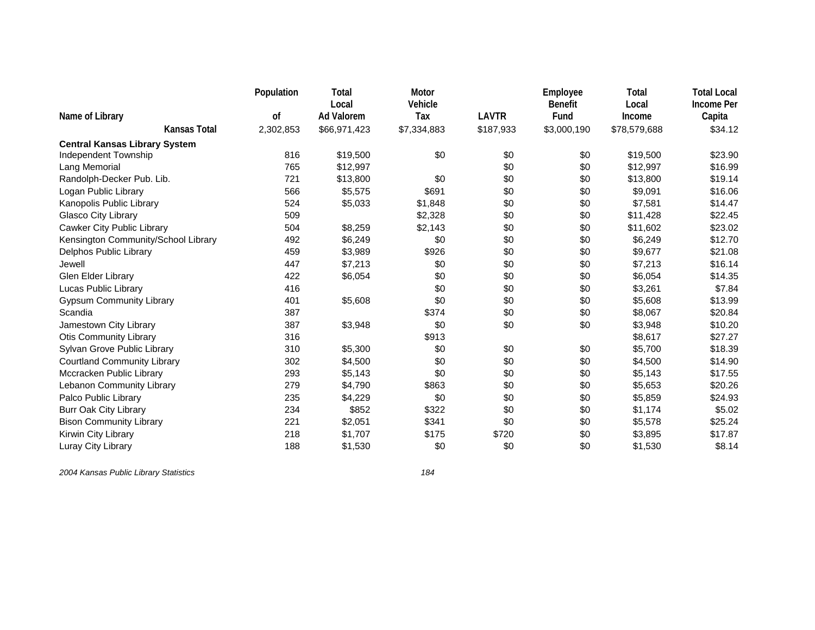|                                      | Population | <b>Total</b>               | Motor          |              | Employee               | Total           | <b>Total Local</b>          |
|--------------------------------------|------------|----------------------------|----------------|--------------|------------------------|-----------------|-----------------------------|
| Name of Library                      | of         | Local<br><b>Ad Valorem</b> | Vehicle<br>Tax | <b>LAVTR</b> | <b>Benefit</b><br>Fund | Local<br>Income | <b>Income Per</b><br>Capita |
| <b>Kansas Total</b>                  | 2,302,853  | \$66,971,423               | \$7,334,883    | \$187,933    | \$3,000,190            | \$78,579,688    | \$34.12                     |
| <b>Central Kansas Library System</b> |            |                            |                |              |                        |                 |                             |
| Independent Township                 | 816        | \$19,500                   | \$0            | \$0          | \$0                    | \$19,500        | \$23.90                     |
| Lang Memorial                        | 765        | \$12,997                   |                | \$0          | \$0                    | \$12,997        | \$16.99                     |
| Randolph-Decker Pub. Lib.            | 721        | \$13,800                   | \$0            | \$0          | \$0                    | \$13,800        | \$19.14                     |
| Logan Public Library                 | 566        | \$5,575                    | \$691          | \$0          | \$0                    | \$9,091         | \$16.06                     |
| Kanopolis Public Library             | 524        | \$5,033                    | \$1,848        | \$0          | \$0                    | \$7,581         | \$14.47                     |
| Glasco City Library                  | 509        |                            | \$2,328        | \$0          | \$0                    | \$11,428        | \$22.45                     |
| Cawker City Public Library           | 504        | \$8,259                    | \$2,143        | \$0          | \$0                    | \$11,602        | \$23.02                     |
| Kensington Community/School Library  | 492        | \$6,249                    | \$0            | \$0          | \$0                    | \$6,249         | \$12.70                     |
| Delphos Public Library               | 459        | \$3,989                    | \$926          | \$0          | \$0                    | \$9,677         | \$21.08                     |
| Jewell                               | 447        | \$7,213                    | \$0            | \$0          | \$0                    | \$7,213         | \$16.14                     |
| <b>Glen Elder Library</b>            | 422        | \$6,054                    | \$0            | \$0          | \$0                    | \$6,054         | \$14.35                     |
| Lucas Public Library                 | 416        |                            | \$0            | \$0          | \$0                    | \$3,261         | \$7.84                      |
| <b>Gypsum Community Library</b>      | 401        | \$5,608                    | \$0            | \$0          | \$0                    | \$5,608         | \$13.99                     |
| Scandia                              | 387        |                            | \$374          | \$0          | \$0                    | \$8,067         | \$20.84                     |
| Jamestown City Library               | 387        | \$3,948                    | \$0            | \$0          | \$0                    | \$3,948         | \$10.20                     |
| <b>Otis Community Library</b>        | 316        |                            | \$913          |              |                        | \$8,617         | \$27.27                     |
| Sylvan Grove Public Library          | 310        | \$5,300                    | \$0            | \$0          | \$0                    | \$5,700         | \$18.39                     |
| <b>Courtland Community Library</b>   | 302        | \$4,500                    | \$0            | \$0          | \$0                    | \$4,500         | \$14.90                     |
| Mccracken Public Library             | 293        | \$5,143                    | \$0            | \$0          | \$0                    | \$5,143         | \$17.55                     |
| Lebanon Community Library            | 279        | \$4,790                    | \$863          | \$0          | \$0                    | \$5,653         | \$20.26                     |
| Palco Public Library                 | 235        | \$4,229                    | \$0            | \$0          | \$0                    | \$5,859         | \$24.93                     |
| <b>Burr Oak City Library</b>         | 234        | \$852                      | \$322          | \$0          | \$0                    | \$1,174         | \$5.02                      |
| <b>Bison Community Library</b>       | 221        | \$2,051                    | \$341          | \$0          | \$0                    | \$5,578         | \$25.24                     |
| Kirwin City Library                  | 218        | \$1,707                    | \$175          | \$720        | \$0                    | \$3,895         | \$17.87                     |
| Luray City Library                   | 188        | \$1,530                    | \$0            | \$0          | \$0                    | \$1,530         | \$8.14                      |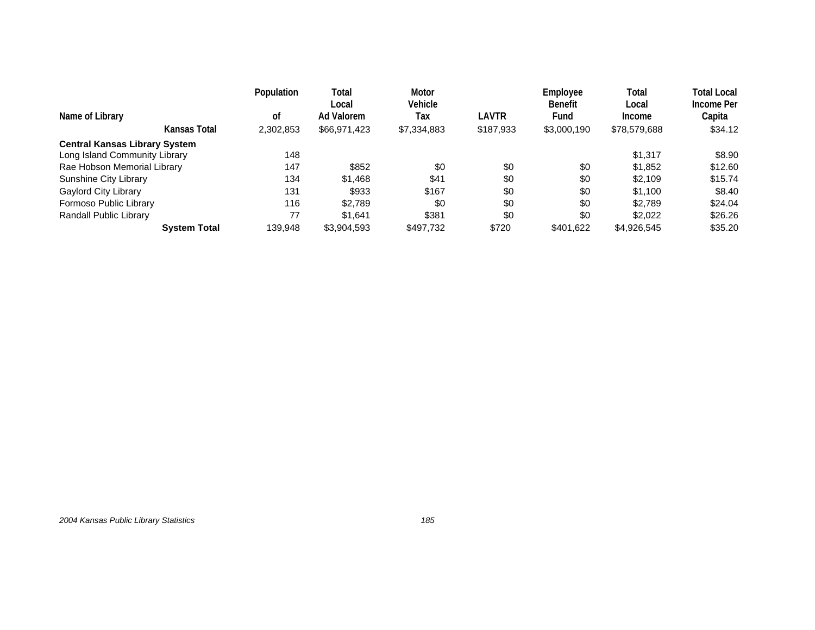| Name of Library                      |                     | Population<br>οf | Total<br>Local<br>Ad Valorem | Motor<br>Vehicle<br>Tax | LAVTR     | Employee<br><b>Benefit</b><br>Fund | Total<br>Local<br>Income | Total Local<br>Income Per<br>Capita |
|--------------------------------------|---------------------|------------------|------------------------------|-------------------------|-----------|------------------------------------|--------------------------|-------------------------------------|
|                                      | Kansas Total        | 2,302,853        | \$66,971,423                 | \$7,334,883             | \$187,933 | \$3,000,190                        | \$78,579,688             | \$34.12                             |
| <b>Central Kansas Library System</b> |                     |                  |                              |                         |           |                                    |                          |                                     |
| Long Island Community Library        |                     | 148              |                              |                         |           |                                    | \$1.317                  | \$8.90                              |
| Rae Hobson Memorial Library          |                     | 147              | \$852                        | \$0                     | \$0       | \$0                                | \$1,852                  | \$12.60                             |
| Sunshine City Library                |                     | 134              | \$1,468                      | \$41                    | \$0       | \$0                                | \$2,109                  | \$15.74                             |
| Gaylord City Library                 |                     | 131              | \$933                        | \$167                   | \$0       | \$0                                | \$1,100                  | \$8.40                              |
| Formoso Public Library               |                     | 116              | \$2,789                      | \$0                     | \$0       | \$0                                | \$2.789                  | \$24.04                             |
| Randall Public Library               |                     | 77               | \$1.641                      | \$381                   | \$0       | \$0                                | \$2,022                  | \$26.26                             |
|                                      | <b>System Total</b> | 139.948          | \$3,904,593                  | \$497,732               | \$720     | \$401.622                          | \$4,926,545              | \$35.20                             |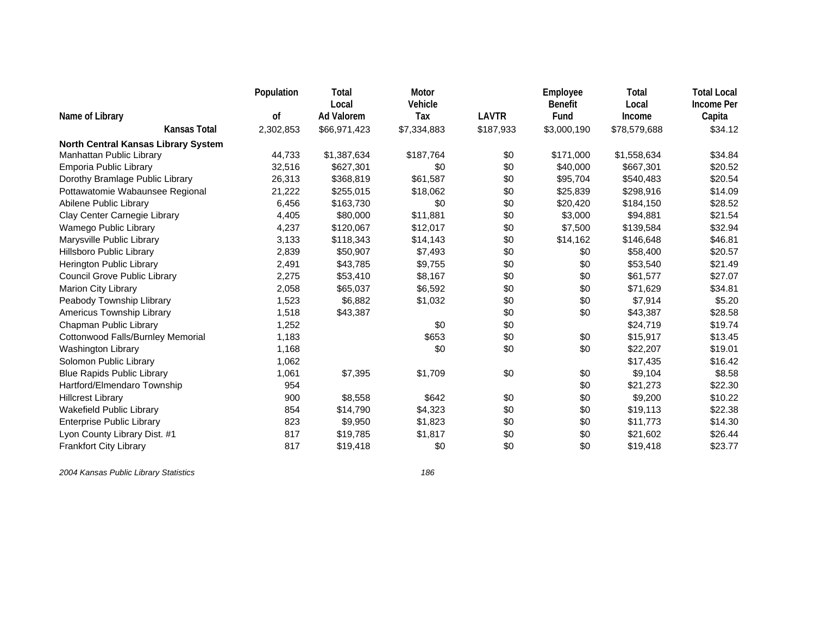|                                            | Population | Total                      | Motor<br>Vehicle |              | Employee               | Total           | <b>Total Local</b>          |
|--------------------------------------------|------------|----------------------------|------------------|--------------|------------------------|-----------------|-----------------------------|
| Name of Library                            | 0f         | Local<br><b>Ad Valorem</b> | Tax              | <b>LAVTR</b> | <b>Benefit</b><br>Fund | Local<br>Income | <b>Income Per</b><br>Capita |
| Kansas Total                               | 2,302,853  | \$66,971,423               | \$7,334,883      | \$187,933    | \$3,000,190            | \$78,579,688    | \$34.12                     |
| <b>North Central Kansas Library System</b> |            |                            |                  |              |                        |                 |                             |
| Manhattan Public Library                   | 44,733     | \$1,387,634                | \$187,764        | \$0          | \$171,000              | \$1,558,634     | \$34.84                     |
| Emporia Public Library                     | 32,516     | \$627,301                  | \$0              | \$0          | \$40,000               | \$667,301       | \$20.52                     |
| Dorothy Bramlage Public Library            | 26,313     | \$368,819                  | \$61,587         | \$0          | \$95,704               | \$540,483       | \$20.54                     |
| Pottawatomie Wabaunsee Regional            | 21,222     | \$255,015                  | \$18,062         | \$0          | \$25,839               | \$298,916       | \$14.09                     |
| Abilene Public Library                     | 6,456      | \$163,730                  | \$0              | \$0          | \$20,420               | \$184,150       | \$28.52                     |
| Clay Center Carnegie Library               | 4,405      | \$80,000                   | \$11,881         | \$0          | \$3,000                | \$94,881        | \$21.54                     |
| Wamego Public Library                      | 4,237      | \$120,067                  | \$12,017         | \$0          | \$7,500                | \$139,584       | \$32.94                     |
| Marysville Public Library                  | 3,133      | \$118,343                  | \$14,143         | \$0          | \$14,162               | \$146,648       | \$46.81                     |
| <b>Hillsboro Public Library</b>            | 2,839      | \$50,907                   | \$7,493          | \$0          | \$0                    | \$58,400        | \$20.57                     |
| Herington Public Library                   | 2,491      | \$43,785                   | \$9,755          | \$0          | \$0                    | \$53,540        | \$21.49                     |
| <b>Council Grove Public Library</b>        | 2,275      | \$53,410                   | \$8,167          | \$0          | \$0                    | \$61,577        | \$27.07                     |
| Marion City Library                        | 2,058      | \$65,037                   | \$6,592          | \$0          | \$0                    | \$71,629        | \$34.81                     |
| Peabody Township Llibrary                  | 1,523      | \$6,882                    | \$1,032          | \$0          | \$0                    | \$7,914         | \$5.20                      |
| Americus Township Library                  | 1,518      | \$43,387                   |                  | \$0          | \$0                    | \$43,387        | \$28.58                     |
| Chapman Public Library                     | 1,252      |                            | \$0              | \$0          |                        | \$24,719        | \$19.74                     |
| Cottonwood Falls/Burnley Memorial          | 1,183      |                            | \$653            | \$0          | \$0                    | \$15,917        | \$13.45                     |
| Washington Library                         | 1,168      |                            | \$0              | \$0          | \$0                    | \$22,207        | \$19.01                     |
| Solomon Public Library                     | 1,062      |                            |                  |              |                        | \$17,435        | \$16.42                     |
| <b>Blue Rapids Public Library</b>          | 1,061      | \$7,395                    | \$1,709          | \$0          | \$0                    | \$9,104         | \$8.58                      |
| Hartford/Elmendaro Township                | 954        |                            |                  |              | \$0                    | \$21,273        | \$22.30                     |
| <b>Hillcrest Library</b>                   | 900        | \$8,558                    | \$642            | \$0          | \$0                    | \$9,200         | \$10.22                     |
| <b>Wakefield Public Library</b>            | 854        | \$14,790                   | \$4,323          | \$0          | \$0                    | \$19,113        | \$22.38                     |
| <b>Enterprise Public Library</b>           | 823        | \$9,950                    | \$1,823          | \$0          | \$0                    | \$11,773        | \$14.30                     |
| Lyon County Library Dist. #1               | 817        | \$19,785                   | \$1,817          | \$0          | \$0                    | \$21,602        | \$26.44                     |
| <b>Frankfort City Library</b>              | 817        | \$19,418                   | \$0              | \$0          | \$0                    | \$19,418        | \$23.77                     |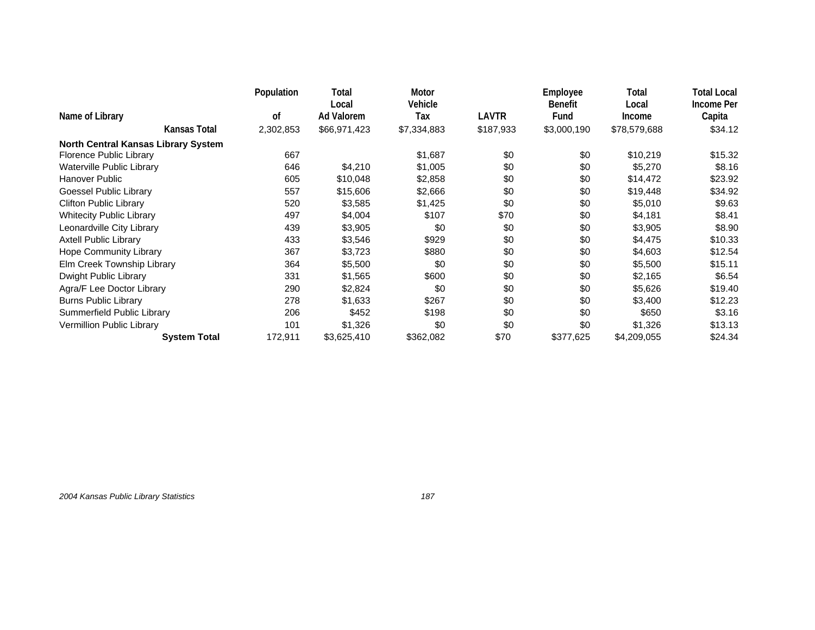|                                     | Population | Total                      | Motor          |              | Employee               | Total           | <b>Total Local</b>   |
|-------------------------------------|------------|----------------------------|----------------|--------------|------------------------|-----------------|----------------------|
| Name of Library                     | 0f         | Local<br><b>Ad Valorem</b> | Vehicle<br>Tax | <b>LAVTR</b> | <b>Benefit</b><br>Fund | Local<br>Income | Income Per<br>Capita |
| Kansas Total                        | 2,302,853  | \$66,971,423               | \$7,334,883    | \$187,933    | \$3,000,190            | \$78,579,688    | \$34.12              |
| North Central Kansas Library System |            |                            |                |              |                        |                 |                      |
| Florence Public Library             | 667        |                            | \$1,687        | \$0          | \$0                    | \$10,219        | \$15.32              |
| Waterville Public Library           | 646        | \$4,210                    | \$1,005        | \$0          | \$0                    | \$5,270         | \$8.16               |
| Hanover Public                      | 605        | \$10,048                   | \$2,858        | \$0          | \$0                    | \$14,472        | \$23.92              |
| Goessel Public Library              | 557        | \$15,606                   | \$2,666        | \$0          | \$0                    | \$19,448        | \$34.92              |
| <b>Clifton Public Library</b>       | 520        | \$3,585                    | \$1,425        | \$0          | \$0                    | \$5,010         | \$9.63               |
| <b>Whitecity Public Library</b>     | 497        | \$4,004                    | \$107          | \$70         | \$0                    | \$4,181         | \$8.41               |
| Leonardville City Library           | 439        | \$3,905                    | \$0            | \$0          | \$0                    | \$3,905         | \$8.90               |
| <b>Axtell Public Library</b>        | 433        | \$3,546                    | \$929          | \$0          | \$0                    | \$4,475         | \$10.33              |
| Hope Community Library              | 367        | \$3,723                    | \$880          | \$0          | \$0                    | \$4,603         | \$12.54              |
| Elm Creek Township Library          | 364        | \$5,500                    | \$0            | \$0          | \$0                    | \$5,500         | \$15.11              |
| Dwight Public Library               | 331        | \$1,565                    | \$600          | \$0          | \$0                    | \$2,165         | \$6.54               |
| Agra/F Lee Doctor Library           | 290        | \$2,824                    | \$0            | \$0          | \$0                    | \$5,626         | \$19.40              |
| <b>Burns Public Library</b>         | 278        | \$1,633                    | \$267          | \$0          | \$0                    | \$3,400         | \$12.23              |
| Summerfield Public Library          | 206        | \$452                      | \$198          | \$0          | \$0                    | \$650           | \$3.16               |
| Vermillion Public Library           | 101        | \$1,326                    | \$0            | \$0          | \$0                    | \$1,326         | \$13.13              |
| <b>System Total</b>                 | 172,911    | \$3,625,410                | \$362,082      | \$70         | \$377,625              | \$4,209,055     | \$24.34              |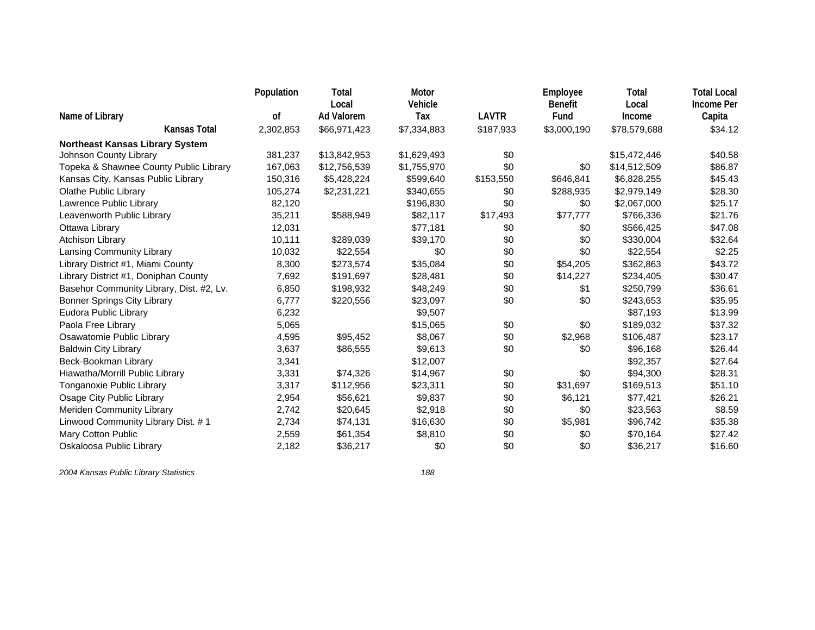|                                          | Population | Total             | Motor       |              | Employee       | Total        | <b>Total Local</b> |
|------------------------------------------|------------|-------------------|-------------|--------------|----------------|--------------|--------------------|
|                                          |            | Local             | Vehicle     |              | <b>Benefit</b> | Local        | <b>Income Per</b>  |
| Name of Library                          | of         | <b>Ad Valorem</b> | Tax         | <b>LAVTR</b> | Fund           | Income       | Capita             |
| <b>Kansas Total</b>                      | 2,302,853  | \$66,971,423      | \$7,334,883 | \$187,933    | \$3,000,190    | \$78,579,688 | \$34.12            |
| <b>Northeast Kansas Library System</b>   |            |                   |             |              |                |              |                    |
| Johnson County Library                   | 381,237    | \$13,842,953      | \$1,629,493 | \$0          |                | \$15,472,446 | \$40.58            |
| Topeka & Shawnee County Public Library   | 167,063    | \$12,756,539      | \$1,755,970 | \$0          | \$0            | \$14,512,509 | \$86.87            |
| Kansas City, Kansas Public Library       | 150,316    | \$5,428,224       | \$599,640   | \$153,550    | \$646,841      | \$6,828,255  | \$45.43            |
| Olathe Public Library                    | 105,274    | \$2,231,221       | \$340,655   | \$0          | \$288,935      | \$2,979,149  | \$28.30            |
| Lawrence Public Library                  | 82,120     |                   | \$196,830   | \$0          | \$0            | \$2,067,000  | \$25.17            |
| Leavenworth Public Library               | 35,211     | \$588,949         | \$82,117    | \$17,493     | \$77,777       | \$766,336    | \$21.76            |
| Ottawa Library                           | 12,031     |                   | \$77,181    | \$0          | \$0            | \$566,425    | \$47.08            |
| <b>Atchison Library</b>                  | 10,111     | \$289,039         | \$39,170    | \$0          | \$0            | \$330,004    | \$32.64            |
| Lansing Community Library                | 10,032     | \$22,554          | \$0         | \$0          | \$0            | \$22,554     | \$2.25             |
| Library District #1, Miami County        | 8,300      | \$273,574         | \$35,084    | \$0          | \$54,205       | \$362,863    | \$43.72            |
| Library District #1, Doniphan County     | 7,692      | \$191,697         | \$28,481    | \$0          | \$14,227       | \$234,405    | \$30.47            |
| Basehor Community Library, Dist. #2, Lv. | 6,850      | \$198,932         | \$48,249    | \$0          | \$1            | \$250,799    | \$36.61            |
| <b>Bonner Springs City Library</b>       | 6,777      | \$220,556         | \$23,097    | \$0          | \$0            | \$243,653    | \$35.95            |
| Eudora Public Library                    | 6,232      |                   | \$9,507     |              |                | \$87,193     | \$13.99            |
| Paola Free Library                       | 5,065      |                   | \$15,065    | \$0          | \$0            | \$189,032    | \$37.32            |
| Osawatomie Public Library                | 4,595      | \$95,452          | \$8,067     | \$0          | \$2,968        | \$106,487    | \$23.17            |
| <b>Baldwin City Library</b>              | 3,637      | \$86,555          | \$9,613     | \$0          | \$0            | \$96,168     | \$26.44            |
| Beck-Bookman Library                     | 3,341      |                   | \$12,007    |              |                | \$92,357     | \$27.64            |
| Hiawatha/Morrill Public Library          | 3,331      | \$74,326          | \$14,967    | \$0          | \$0            | \$94,300     | \$28.31            |
| Tonganoxie Public Library                | 3,317      | \$112,956         | \$23,311    | \$0          | \$31,697       | \$169,513    | \$51.10            |
| Osage City Public Library                | 2,954      | \$56,621          | \$9,837     | \$0          | \$6,121        | \$77,421     | \$26.21            |
| Meriden Community Library                | 2,742      | \$20,645          | \$2,918     | \$0          | \$0            | \$23,563     | \$8.59             |
| Linwood Community Library Dist. #1       | 2,734      | \$74,131          | \$16,630    | \$0          | \$5,981        | \$96,742     | \$35.38            |
| Mary Cotton Public                       | 2,559      | \$61,354          | \$8,810     | \$0          | \$0            | \$70,164     | \$27.42            |
| Oskaloosa Public Library                 | 2,182      | \$36,217          | \$0         | \$0          | \$0            | \$36,217     | \$16.60            |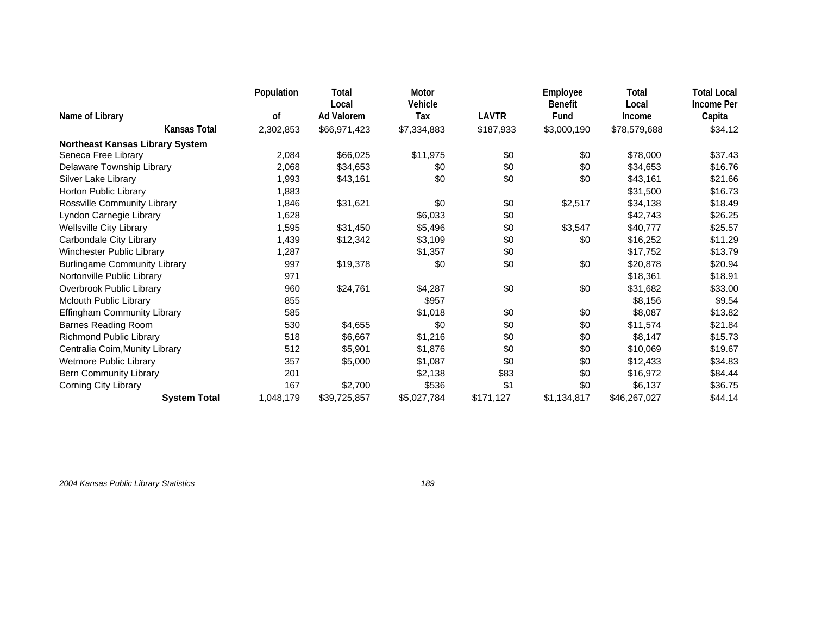|                                     | Population | Total                      | Motor          |           | Employee               | Total           | <b>Total Local</b>   |
|-------------------------------------|------------|----------------------------|----------------|-----------|------------------------|-----------------|----------------------|
| Name of Library                     | 0f         | Local<br><b>Ad Valorem</b> | Vehicle<br>Tax | LAVTR     | <b>Benefit</b><br>Fund | Local<br>Income | Income Per<br>Capita |
| Kansas Total                        | 2,302,853  | \$66,971,423               | \$7,334,883    | \$187,933 | \$3,000,190            | \$78,579,688    | \$34.12              |
| Northeast Kansas Library System     |            |                            |                |           |                        |                 |                      |
| Seneca Free Library                 | 2,084      | \$66,025                   | \$11,975       | \$0       | \$0                    | \$78,000        | \$37.43              |
| Delaware Township Library           | 2,068      | \$34,653                   | \$0            | \$0       | \$0                    | \$34,653        | \$16.76              |
| Silver Lake Library                 | 1,993      | \$43,161                   | \$0            | \$0       | \$0                    | \$43,161        | \$21.66              |
| Horton Public Library               | 1,883      |                            |                |           |                        | \$31,500        | \$16.73              |
| Rossville Community Library         | 1,846      | \$31,621                   | \$0            | \$0       | \$2,517                | \$34,138        | \$18.49              |
| Lyndon Carnegie Library             | 1,628      |                            | \$6,033        | \$0       |                        | \$42,743        | \$26.25              |
| <b>Wellsville City Library</b>      | 1,595      | \$31,450                   | \$5,496        | \$0       | \$3,547                | \$40,777        | \$25.57              |
| Carbondale City Library             | 1,439      | \$12,342                   | \$3,109        | \$0       | \$0                    | \$16,252        | \$11.29              |
| Winchester Public Library           | 1,287      |                            | \$1,357        | \$0       |                        | \$17,752        | \$13.79              |
| <b>Burlingame Community Library</b> | 997        | \$19,378                   | \$0            | \$0       | \$0                    | \$20,878        | \$20.94              |
| Nortonville Public Library          | 971        |                            |                |           |                        | \$18,361        | \$18.91              |
| Overbrook Public Library            | 960        | \$24,761                   | \$4,287        | \$0       | \$0                    | \$31,682        | \$33.00              |
| Mclouth Public Library              | 855        |                            | \$957          |           |                        | \$8,156         | \$9.54               |
| Effingham Community Library         | 585        |                            | \$1,018        | \$0       | \$0                    | \$8,087         | \$13.82              |
| <b>Barnes Reading Room</b>          | 530        | \$4,655                    | \$0            | \$0       | \$0                    | \$11,574        | \$21.84              |
| Richmond Public Library             | 518        | \$6,667                    | \$1,216        | \$0       | \$0                    | \$8,147         | \$15.73              |
| Centralia Coim, Munity Library      | 512        | \$5,901                    | \$1,876        | \$0       | \$0                    | \$10,069        | \$19.67              |
| Wetmore Public Library              | 357        | \$5,000                    | \$1,087        | \$0       | \$0                    | \$12,433        | \$34.83              |
| Bern Community Library              | 201        |                            | \$2,138        | \$83      | \$0                    | \$16,972        | \$84.44              |
| <b>Corning City Library</b>         | 167        | \$2,700                    | \$536          | \$1       | \$0                    | \$6,137         | \$36.75              |
| <b>System Total</b>                 | 1,048,179  | \$39,725,857               | \$5,027,784    | \$171,127 | \$1,134,817            | \$46,267,027    | \$44.14              |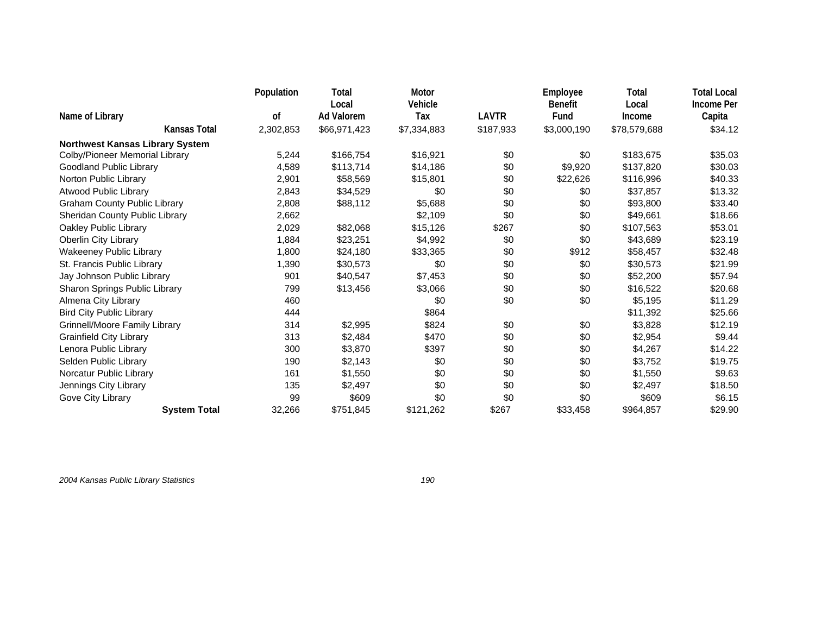|                                        | Population | Total<br>Local    | Motor<br>Vehicle |           | Employee<br><b>Benefit</b> | Total<br>Local | <b>Total Local</b><br>Income Per |
|----------------------------------------|------------|-------------------|------------------|-----------|----------------------------|----------------|----------------------------------|
| Name of Library                        | οf         | <b>Ad Valorem</b> | Tax              | LAVTR     | Fund                       | Income         | Capita                           |
| Kansas Total                           | 2,302,853  | \$66,971,423      | \$7,334,883      | \$187,933 | \$3,000,190                | \$78,579,688   | \$34.12                          |
| <b>Northwest Kansas Library System</b> |            |                   |                  |           |                            |                |                                  |
| Colby/Pioneer Memorial Library         | 5,244      | \$166,754         | \$16,921         | \$0       | \$0                        | \$183,675      | \$35.03                          |
| Goodland Public Library                | 4,589      | \$113,714         | \$14,186         | \$0       | \$9,920                    | \$137,820      | \$30.03                          |
| Norton Public Library                  | 2,901      | \$58,569          | \$15,801         | \$0       | \$22,626                   | \$116,996      | \$40.33                          |
| Atwood Public Library                  | 2,843      | \$34,529          | \$0              | \$0       | \$0                        | \$37,857       | \$13.32                          |
| <b>Graham County Public Library</b>    | 2,808      | \$88,112          | \$5,688          | \$0       | \$0                        | \$93,800       | \$33.40                          |
| Sheridan County Public Library         | 2,662      |                   | \$2,109          | \$0       | \$0                        | \$49,661       | \$18.66                          |
| Oakley Public Library                  | 2,029      | \$82,068          | \$15,126         | \$267     | \$0                        | \$107,563      | \$53.01                          |
| Oberlin City Library                   | 1,884      | \$23,251          | \$4,992          | \$0       | \$0                        | \$43,689       | \$23.19                          |
| <b>Wakeeney Public Library</b>         | 1,800      | \$24,180          | \$33,365         | \$0       | \$912                      | \$58,457       | \$32.48                          |
| St. Francis Public Library             | 1,390      | \$30,573          | \$0              | \$0       | \$0                        | \$30,573       | \$21.99                          |
| Jay Johnson Public Library             | 901        | \$40,547          | \$7,453          | \$0       | \$0                        | \$52,200       | \$57.94                          |
| Sharon Springs Public Library          | 799        | \$13,456          | \$3,066          | \$0       | \$0                        | \$16,522       | \$20.68                          |
| Almena City Library                    | 460        |                   | \$0              | \$0       | \$0                        | \$5,195        | \$11.29                          |
| <b>Bird City Public Library</b>        | 444        |                   | \$864            |           |                            | \$11,392       | \$25.66                          |
| <b>Grinnell/Moore Family Library</b>   | 314        | \$2,995           | \$824            | \$0       | \$0                        | \$3,828        | \$12.19                          |
| <b>Grainfield City Library</b>         | 313        | \$2,484           | \$470            | \$0       | \$0                        | \$2,954        | \$9.44                           |
| Lenora Public Library                  | 300        | \$3,870           | \$397            | \$0       | \$0                        | \$4,267        | \$14.22                          |
| Selden Public Library                  | 190        | \$2,143           | \$0              | \$0       | \$0                        | \$3,752        | \$19.75                          |
| Norcatur Public Library                | 161        | \$1,550           | \$0              | \$0       | \$0                        | \$1,550        | \$9.63                           |
| Jennings City Library                  | 135        | \$2,497           | \$0              | \$0       | \$0                        | \$2,497        | \$18.50                          |
| Gove City Library                      | 99         | \$609             | \$0              | \$0       | \$0                        | \$609          | \$6.15                           |
| <b>System Total</b>                    | 32,266     | \$751,845         | \$121,262        | \$267     | \$33,458                   | \$964,857      | \$29.90                          |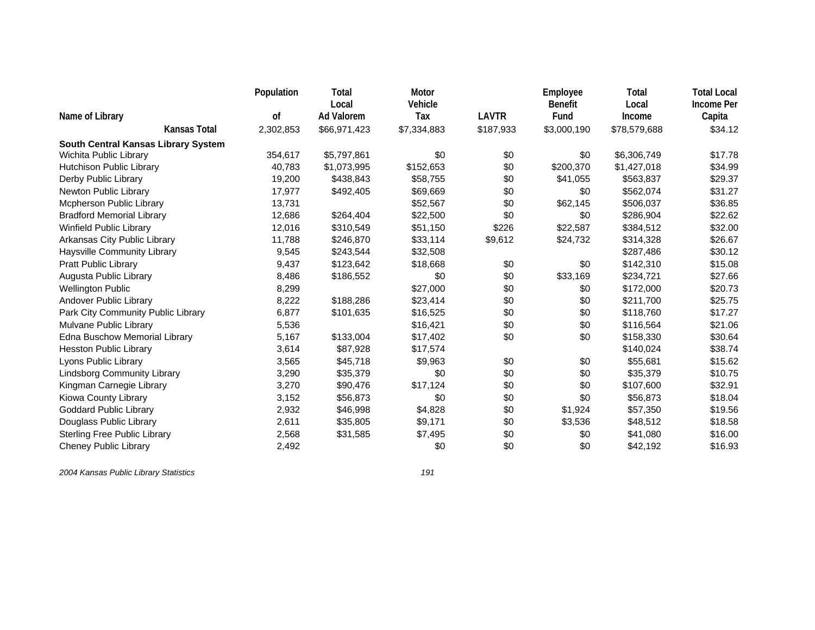|                                     | Population | Total             | Motor       |              | Employee       | Total        | <b>Total Local</b> |
|-------------------------------------|------------|-------------------|-------------|--------------|----------------|--------------|--------------------|
|                                     |            | Local             | Vehicle     | <b>LAVTR</b> | <b>Benefit</b> | Local        | <b>Income Per</b>  |
| Name of Library                     | οf         | <b>Ad Valorem</b> | Tax         |              | Fund           | Income       | Capita             |
| Kansas Total                        | 2,302,853  | \$66,971,423      | \$7,334,883 | \$187,933    | \$3,000,190    | \$78,579,688 | \$34.12            |
| South Central Kansas Library System |            |                   |             |              |                |              |                    |
| Wichita Public Library              | 354,617    | \$5,797,861       | \$0         | \$0          | \$0            | \$6,306,749  | \$17.78            |
| Hutchison Public Library            | 40,783     | \$1,073,995       | \$152,653   | \$0          | \$200,370      | \$1,427,018  | \$34.99            |
| Derby Public Library                | 19,200     | \$438,843         | \$58,755    | \$0          | \$41,055       | \$563,837    | \$29.37            |
| Newton Public Library               | 17,977     | \$492,405         | \$69,669    | \$0          | \$0            | \$562,074    | \$31.27            |
| Mcpherson Public Library            | 13,731     |                   | \$52,567    | \$0          | \$62,145       | \$506,037    | \$36.85            |
| <b>Bradford Memorial Library</b>    | 12,686     | \$264,404         | \$22,500    | \$0          | \$0            | \$286,904    | \$22.62            |
| Winfield Public Library             | 12,016     | \$310,549         | \$51,150    | \$226        | \$22,587       | \$384,512    | \$32.00            |
| Arkansas City Public Library        | 11,788     | \$246,870         | \$33,114    | \$9,612      | \$24,732       | \$314,328    | \$26.67            |
| Haysville Community Library         | 9,545      | \$243,544         | \$32,508    |              |                | \$287,486    | \$30.12            |
| Pratt Public Library                | 9,437      | \$123,642         | \$18,668    | \$0          | \$0            | \$142,310    | \$15.08            |
| Augusta Public Library              | 8,486      | \$186,552         | \$0         | \$0          | \$33,169       | \$234,721    | \$27.66            |
| <b>Wellington Public</b>            | 8,299      |                   | \$27,000    | \$0          | \$0            | \$172,000    | \$20.73            |
| Andover Public Library              | 8,222      | \$188,286         | \$23,414    | \$0          | \$0            | \$211,700    | \$25.75            |
| Park City Community Public Library  | 6,877      | \$101,635         | \$16,525    | \$0          | \$0            | \$118,760    | \$17.27            |
| Mulvane Public Library              | 5,536      |                   | \$16,421    | \$0          | \$0            | \$116,564    | \$21.06            |
| Edna Buschow Memorial Library       | 5,167      | \$133,004         | \$17,402    | \$0          | \$0            | \$158,330    | \$30.64            |
| <b>Hesston Public Library</b>       | 3,614      | \$87,928          | \$17,574    |              |                | \$140,024    | \$38.74            |
| Lyons Public Library                | 3,565      | \$45,718          | \$9,963     | \$0          | \$0            | \$55,681     | \$15.62            |
| <b>Lindsborg Community Library</b>  | 3,290      | \$35,379          | \$0         | \$0          | \$0            | \$35,379     | \$10.75            |
| Kingman Carnegie Library            | 3,270      | \$90,476          | \$17,124    | \$0          | \$0            | \$107,600    | \$32.91            |
| Kiowa County Library                | 3,152      | \$56,873          | \$0         | \$0          | \$0            | \$56,873     | \$18.04            |
| <b>Goddard Public Library</b>       | 2,932      | \$46,998          | \$4,828     | \$0          | \$1,924        | \$57,350     | \$19.56            |
| Douglass Public Library             | 2,611      | \$35,805          | \$9,171     | \$0          | \$3,536        | \$48,512     | \$18.58            |
| <b>Sterling Free Public Library</b> | 2,568      | \$31,585          | \$7,495     | \$0          | \$0            | \$41,080     | \$16.00            |
| <b>Cheney Public Library</b>        | 2,492      |                   | \$0         | \$0          | \$0            | \$42,192     | \$16.93            |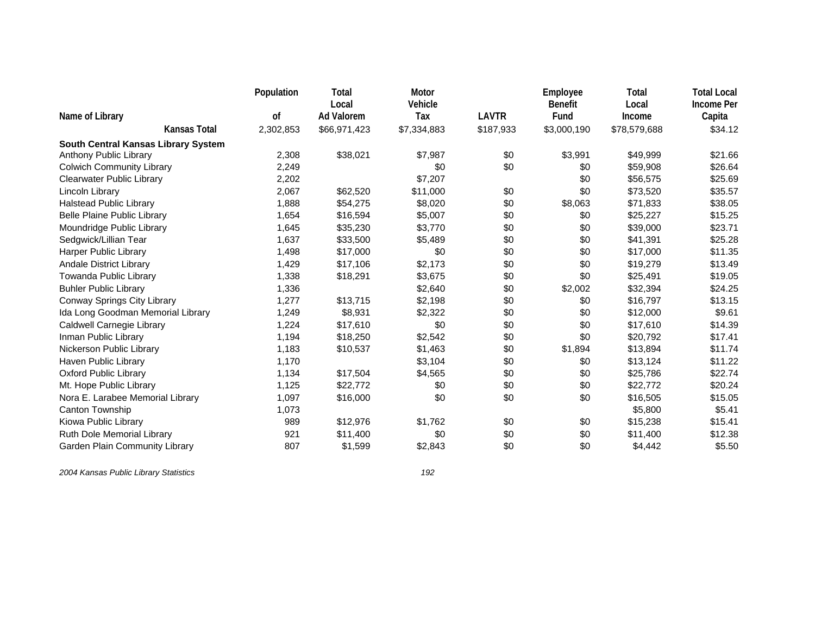|                                     | Population | Total<br>Local    | Motor<br>Vehicle |              | Employee<br><b>Benefit</b> | Total<br>Local | <b>Total Local</b><br><b>Income Per</b> |
|-------------------------------------|------------|-------------------|------------------|--------------|----------------------------|----------------|-----------------------------------------|
| Name of Library                     | 0f         | <b>Ad Valorem</b> | Tax              | <b>LAVTR</b> | Fund                       | Income         | Capita                                  |
| <b>Kansas Total</b>                 | 2,302,853  | \$66,971,423      | \$7,334,883      | \$187,933    | \$3,000,190                | \$78,579,688   | \$34.12                                 |
| South Central Kansas Library System |            |                   |                  |              |                            |                |                                         |
| Anthony Public Library              | 2,308      | \$38,021          | \$7,987          | \$0          | \$3,991                    | \$49,999       | \$21.66                                 |
| <b>Colwich Community Library</b>    | 2,249      |                   | \$0              | \$0          | \$0                        | \$59,908       | \$26.64                                 |
| <b>Clearwater Public Library</b>    | 2,202      |                   | \$7,207          |              | \$0                        | \$56,575       | \$25.69                                 |
| Lincoln Library                     | 2,067      | \$62,520          | \$11,000         | \$0          | \$0                        | \$73,520       | \$35.57                                 |
| <b>Halstead Public Library</b>      | 1,888      | \$54,275          | \$8,020          | \$0          | \$8,063                    | \$71,833       | \$38.05                                 |
| <b>Belle Plaine Public Library</b>  | 1,654      | \$16,594          | \$5,007          | \$0          | \$0                        | \$25,227       | \$15.25                                 |
| Moundridge Public Library           | 1,645      | \$35,230          | \$3,770          | \$0          | \$0                        | \$39,000       | \$23.71                                 |
| Sedgwick/Lillian Tear               | 1,637      | \$33,500          | \$5,489          | \$0          | \$0                        | \$41,391       | \$25.28                                 |
| Harper Public Library               | 1,498      | \$17,000          | \$0              | \$0          | \$0                        | \$17,000       | \$11.35                                 |
| <b>Andale District Library</b>      | 1,429      | \$17,106          | \$2,173          | \$0          | \$0                        | \$19,279       | \$13.49                                 |
| Towanda Public Library              | 1,338      | \$18,291          | \$3,675          | \$0          | \$0                        | \$25,491       | \$19.05                                 |
| <b>Buhler Public Library</b>        | 1,336      |                   | \$2,640          | \$0          | \$2,002                    | \$32,394       | \$24.25                                 |
| Conway Springs City Library         | 1,277      | \$13,715          | \$2,198          | \$0          | \$0                        | \$16,797       | \$13.15                                 |
| Ida Long Goodman Memorial Library   | 1,249      | \$8,931           | \$2,322          | \$0          | \$0                        | \$12,000       | \$9.61                                  |
| Caldwell Carnegie Library           | 1,224      | \$17,610          | \$0              | \$0          | \$0                        | \$17,610       | \$14.39                                 |
| Inman Public Library                | 1,194      | \$18,250          | \$2,542          | \$0          | \$0                        | \$20,792       | \$17.41                                 |
| Nickerson Public Library            | 1,183      | \$10,537          | \$1,463          | \$0          | \$1,894                    | \$13,894       | \$11.74                                 |
| Haven Public Library                | 1,170      |                   | \$3,104          | \$0          | \$0                        | \$13,124       | \$11.22                                 |
| <b>Oxford Public Library</b>        | 1,134      | \$17,504          | \$4,565          | \$0          | \$0                        | \$25,786       | \$22.74                                 |
| Mt. Hope Public Library             | 1,125      | \$22,772          | \$0              | \$0          | \$0                        | \$22,772       | \$20.24                                 |
| Nora E. Larabee Memorial Library    | 1,097      | \$16,000          | \$0              | \$0          | \$0                        | \$16,505       | \$15.05                                 |
| Canton Township                     | 1,073      |                   |                  |              |                            | \$5,800        | \$5.41                                  |
| Kiowa Public Library                | 989        | \$12,976          | \$1,762          | \$0          | \$0                        | \$15,238       | \$15.41                                 |
| Ruth Dole Memorial Library          | 921        | \$11,400          | \$0              | \$0          | \$0                        | \$11,400       | \$12.38                                 |
| Garden Plain Community Library      | 807        | \$1,599           | \$2,843          | \$0          | \$0                        | \$4,442        | \$5.50                                  |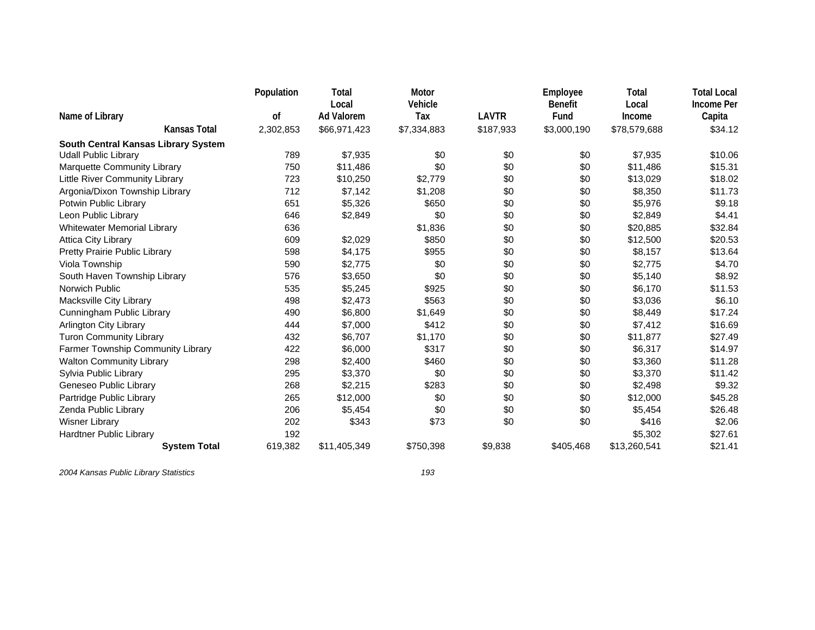|                                                                    | Population    | Total                      | Motor          |              | Employee               | Total           | <b>Total Local</b>          |
|--------------------------------------------------------------------|---------------|----------------------------|----------------|--------------|------------------------|-----------------|-----------------------------|
| Name of Library                                                    | <sub>of</sub> | Local<br><b>Ad Valorem</b> | Vehicle<br>Tax | <b>LAVTR</b> | <b>Benefit</b><br>Fund | Local<br>Income | <b>Income Per</b><br>Capita |
| <b>Kansas Total</b>                                                | 2,302,853     | \$66,971,423               | \$7,334,883    | \$187,933    | \$3,000,190            | \$78,579,688    | \$34.12                     |
|                                                                    |               |                            |                |              |                        |                 |                             |
| South Central Kansas Library System<br><b>Udall Public Library</b> | 789           | \$7,935                    | \$0            | \$0          | \$0                    | \$7,935         | \$10.06                     |
|                                                                    |               |                            |                |              |                        |                 |                             |
| Marquette Community Library                                        | 750           | \$11,486                   | \$0            | \$0          | \$0                    | \$11,486        | \$15.31                     |
| Little River Community Library                                     | 723           | \$10,250                   | \$2,779        | \$0          | \$0                    | \$13,029        | \$18.02                     |
| Argonia/Dixon Township Library                                     | 712           | \$7,142                    | \$1,208        | \$0          | \$0                    | \$8,350         | \$11.73                     |
| Potwin Public Library                                              | 651           | \$5,326                    | \$650          | \$0          | \$0                    | \$5,976         | \$9.18                      |
| Leon Public Library                                                | 646           | \$2,849                    | \$0            | \$0          | \$0                    | \$2,849         | \$4.41                      |
| <b>Whitewater Memorial Library</b>                                 | 636           |                            | \$1,836        | \$0          | \$0                    | \$20,885        | \$32.84                     |
| <b>Attica City Library</b>                                         | 609           | \$2,029                    | \$850          | \$0          | \$0                    | \$12,500        | \$20.53                     |
| Pretty Prairie Public Library                                      | 598           | \$4,175                    | \$955          | \$0          | \$0                    | \$8,157         | \$13.64                     |
| Viola Township                                                     | 590           | \$2,775                    | \$0            | \$0          | \$0                    | \$2,775         | \$4.70                      |
| South Haven Township Library                                       | 576           | \$3,650                    | \$0            | \$0          | \$0                    | \$5,140         | \$8.92                      |
| Norwich Public                                                     | 535           | \$5,245                    | \$925          | \$0          | \$0                    | \$6,170         | \$11.53                     |
| Macksville City Library                                            | 498           | \$2,473                    | \$563          | \$0          | \$0                    | \$3,036         | \$6.10                      |
| Cunningham Public Library                                          | 490           | \$6,800                    | \$1,649        | \$0          | \$0                    | \$8,449         | \$17.24                     |
| <b>Arlington City Library</b>                                      | 444           | \$7,000                    | \$412          | \$0          | \$0                    | \$7,412         | \$16.69                     |
| <b>Turon Community Library</b>                                     | 432           | \$6,707                    | \$1,170        | \$0          | \$0                    | \$11,877        | \$27.49                     |
| Farmer Township Community Library                                  | 422           | \$6,000                    | \$317          | \$0          | \$0                    | \$6,317         | \$14.97                     |
| <b>Walton Community Library</b>                                    | 298           | \$2,400                    | \$460          | \$0          | \$0                    | \$3,360         | \$11.28                     |
| Sylvia Public Library                                              | 295           | \$3,370                    | \$0            | \$0          | \$0                    | \$3,370         | \$11.42                     |
| Geneseo Public Library                                             | 268           | \$2,215                    | \$283          | \$0          | \$0                    | \$2,498         | \$9.32                      |
| Partridge Public Library                                           | 265           | \$12,000                   | \$0            | \$0          | \$0                    | \$12,000        | \$45.28                     |
| Zenda Public Library                                               | 206           | \$5,454                    | \$0            | \$0          | \$0                    | \$5,454         | \$26.48                     |
| <b>Wisner Library</b>                                              | 202           | \$343                      | \$73           | \$0          | \$0                    | \$416           | \$2.06                      |
| <b>Hardtner Public Library</b>                                     | 192           |                            |                |              |                        | \$5,302         | \$27.61                     |
| <b>System Total</b>                                                | 619,382       | \$11,405,349               | \$750,398      | \$9,838      | \$405,468              | \$13,260,541    | \$21.41                     |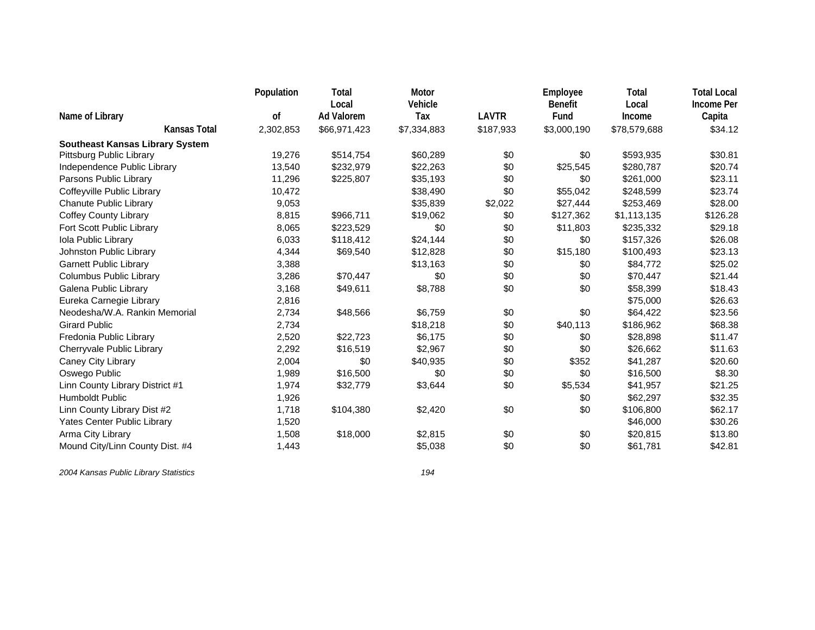|                                        | Population | Total                      | Motor          |              | Employee               | Total           | <b>Total Local</b>          |
|----------------------------------------|------------|----------------------------|----------------|--------------|------------------------|-----------------|-----------------------------|
| Name of Library                        | 0f         | Local<br><b>Ad Valorem</b> | Vehicle<br>Tax | <b>LAVTR</b> | <b>Benefit</b><br>Fund | Local<br>Income | <b>Income Per</b><br>Capita |
| <b>Kansas Total</b>                    | 2,302,853  | \$66,971,423               | \$7,334,883    | \$187,933    | \$3,000,190            | \$78,579,688    | \$34.12                     |
| <b>Southeast Kansas Library System</b> |            |                            |                |              |                        |                 |                             |
| Pittsburg Public Library               | 19,276     | \$514,754                  | \$60,289       | \$0          | \$0                    | \$593,935       | \$30.81                     |
| Independence Public Library            | 13,540     | \$232,979                  | \$22,263       | \$0          | \$25,545               | \$280,787       | \$20.74                     |
| Parsons Public Library                 | 11,296     | \$225,807                  | \$35,193       | \$0          | \$0                    | \$261,000       | \$23.11                     |
| Coffeyville Public Library             | 10,472     |                            | \$38,490       | \$0          | \$55,042               | \$248,599       | \$23.74                     |
| <b>Chanute Public Library</b>          | 9,053      |                            | \$35,839       | \$2,022      | \$27,444               | \$253,469       | \$28.00                     |
| <b>Coffey County Library</b>           | 8,815      | \$966,711                  | \$19,062       | \$0          | \$127,362              | \$1,113,135     | \$126.28                    |
| Fort Scott Public Library              | 8,065      | \$223,529                  | \$0            | \$0          | \$11,803               | \$235,332       | \$29.18                     |
| Iola Public Library                    | 6,033      | \$118,412                  | \$24,144       | \$0          | \$0                    | \$157,326       | \$26.08                     |
| Johnston Public Library                | 4,344      | \$69,540                   | \$12,828       | \$0          | \$15,180               | \$100,493       | \$23.13                     |
| <b>Garnett Public Library</b>          | 3,388      |                            | \$13,163       | \$0          | \$0                    | \$84,772        | \$25.02                     |
| Columbus Public Library                | 3,286      | \$70,447                   | \$0            | \$0          | \$0                    | \$70,447        | \$21.44                     |
| Galena Public Library                  | 3,168      | \$49,611                   | \$8,788        | \$0          | \$0                    | \$58,399        | \$18.43                     |
| Eureka Carnegie Library                | 2,816      |                            |                |              |                        | \$75,000        | \$26.63                     |
| Neodesha/W.A. Rankin Memorial          | 2,734      | \$48,566                   | \$6,759        | \$0          | \$0                    | \$64,422        | \$23.56                     |
| <b>Girard Public</b>                   | 2,734      |                            | \$18,218       | \$0          | \$40,113               | \$186,962       | \$68.38                     |
| Fredonia Public Library                | 2,520      | \$22,723                   | \$6,175        | \$0          | \$0                    | \$28,898        | \$11.47                     |
| Cherryvale Public Library              | 2,292      | \$16,519                   | \$2,967        | \$0          | \$0                    | \$26,662        | \$11.63                     |
| Caney City Library                     | 2,004      | \$0                        | \$40,935       | \$0          | \$352                  | \$41,287        | \$20.60                     |
| Oswego Public                          | 1,989      | \$16,500                   | \$0            | \$0          | \$0                    | \$16,500        | \$8.30                      |
| Linn County Library District #1        | 1,974      | \$32,779                   | \$3,644        | \$0          | \$5,534                | \$41,957        | \$21.25                     |
| <b>Humboldt Public</b>                 | 1,926      |                            |                |              | \$0                    | \$62,297        | \$32.35                     |
| Linn County Library Dist #2            | 1,718      | \$104,380                  | \$2,420        | \$0          | \$0                    | \$106,800       | \$62.17                     |
| Yates Center Public Library            | 1,520      |                            |                |              |                        | \$46,000        | \$30.26                     |
| Arma City Library                      | 1,508      | \$18,000                   | \$2,815        | \$0          | \$0                    | \$20,815        | \$13.80                     |
| Mound City/Linn County Dist. #4        | 1,443      |                            | \$5,038        | \$0          | \$0                    | \$61,781        | \$42.81                     |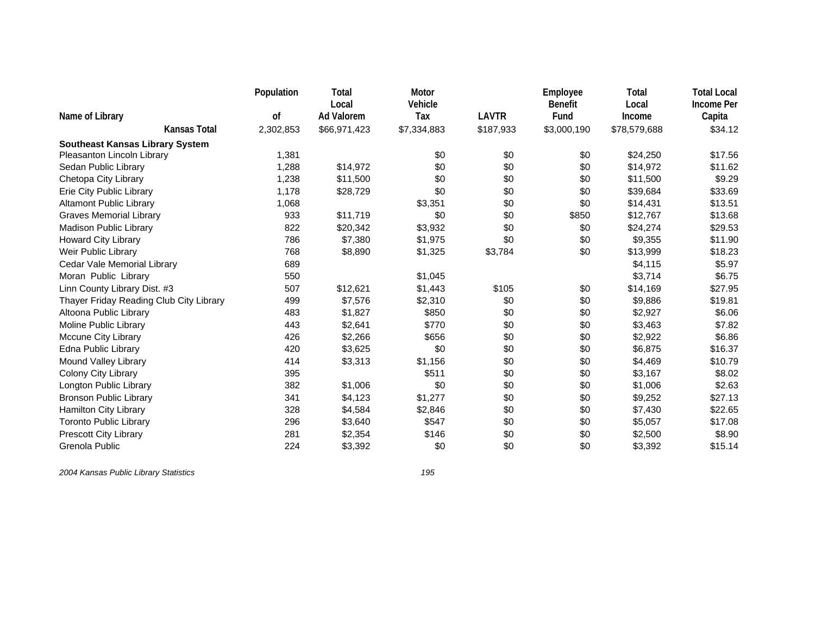|                                                                      | Population | Total                      | Motor          |              | Employee               | Total           | <b>Total Local</b>          |
|----------------------------------------------------------------------|------------|----------------------------|----------------|--------------|------------------------|-----------------|-----------------------------|
| Name of Library                                                      | 0f         | Local<br><b>Ad Valorem</b> | Vehicle<br>Tax | <b>LAVTR</b> | <b>Benefit</b><br>Fund | Local<br>Income | <b>Income Per</b><br>Capita |
| Kansas Total                                                         | 2,302,853  | \$66,971,423               | \$7,334,883    | \$187,933    | \$3,000,190            | \$78,579,688    | \$34.12                     |
|                                                                      |            |                            |                |              |                        |                 |                             |
| <b>Southeast Kansas Library System</b><br>Pleasanton Lincoln Library | 1,381      |                            | \$0            | \$0          | \$0                    | \$24,250        | \$17.56                     |
| Sedan Public Library                                                 | 1,288      | \$14,972                   | \$0            | \$0          | \$0                    | \$14,972        | \$11.62                     |
| Chetopa City Library                                                 | 1,238      | \$11,500                   | \$0            | \$0          | \$0                    | \$11,500        | \$9.29                      |
| Erie City Public Library                                             | 1,178      | \$28,729                   | \$0            | \$0          | \$0                    | \$39,684        | \$33.69                     |
| <b>Altamont Public Library</b>                                       | 1,068      |                            | \$3,351        | \$0          | \$0                    | \$14,431        | \$13.51                     |
| <b>Graves Memorial Library</b>                                       | 933        | \$11,719                   | \$0            | \$0          |                        | \$12,767        | \$13.68                     |
|                                                                      |            |                            |                |              | \$850                  |                 |                             |
| <b>Madison Public Library</b>                                        | 822        | \$20,342                   | \$3,932        | \$0          | \$0                    | \$24,274        | \$29.53                     |
| Howard City Library                                                  | 786        | \$7,380                    | \$1,975        | \$0          | \$0                    | \$9,355         | \$11.90                     |
| Weir Public Library                                                  | 768        | \$8,890                    | \$1,325        | \$3,784      | \$0                    | \$13,999        | \$18.23                     |
| Cedar Vale Memorial Library                                          | 689        |                            |                |              |                        | \$4,115         | \$5.97                      |
| Moran Public Library                                                 | 550        |                            | \$1,045        |              |                        | \$3,714         | \$6.75                      |
| Linn County Library Dist. #3                                         | 507        | \$12,621                   | \$1,443        | \$105        | \$0                    | \$14,169        | \$27.95                     |
| Thayer Friday Reading Club City Library                              | 499        | \$7,576                    | \$2,310        | \$0          | \$0                    | \$9,886         | \$19.81                     |
| Altoona Public Library                                               | 483        | \$1,827                    | \$850          | \$0          | \$0                    | \$2,927         | \$6.06                      |
| Moline Public Library                                                | 443        | \$2,641                    | \$770          | \$0          | \$0                    | \$3,463         | \$7.82                      |
| <b>Mccune City Library</b>                                           | 426        | \$2,266                    | \$656          | \$0          | \$0                    | \$2,922         | \$6.86                      |
| Edna Public Library                                                  | 420        | \$3,625                    | \$0            | \$0          | \$0                    | \$6,875         | \$16.37                     |
| Mound Valley Library                                                 | 414        | \$3,313                    | \$1,156        | \$0          | \$0                    | \$4,469         | \$10.79                     |
| Colony City Library                                                  | 395        |                            | \$511          | \$0          | \$0                    | \$3,167         | \$8.02                      |
| Longton Public Library                                               | 382        | \$1,006                    | \$0            | \$0          | \$0                    | \$1,006         | \$2.63                      |
| <b>Bronson Public Library</b>                                        | 341        | \$4,123                    | \$1,277        | \$0          | \$0                    | \$9,252         | \$27.13                     |
| Hamilton City Library                                                | 328        | \$4,584                    | \$2,846        | \$0          | \$0                    | \$7,430         | \$22.65                     |
| <b>Toronto Public Library</b>                                        | 296        | \$3,640                    | \$547          | \$0          | \$0                    | \$5,057         | \$17.08                     |
| Prescott City Library                                                | 281        | \$2,354                    | \$146          | \$0          | \$0                    | \$2,500         | \$8.90                      |
| Grenola Public                                                       | 224        | \$3,392                    | \$0            | \$0          | \$0                    | \$3,392         | \$15.14                     |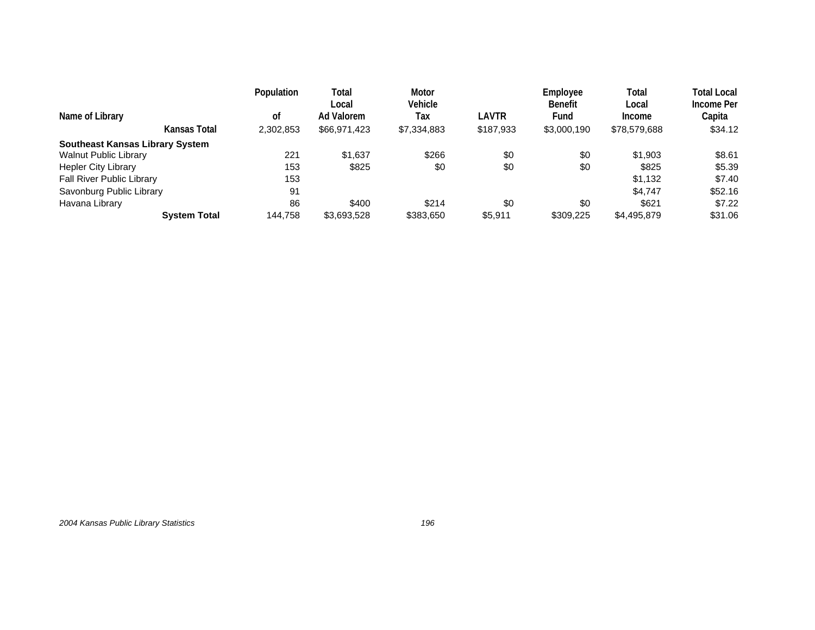| Name of Library                        |                     | Population<br>οf | Total<br>Local<br>Ad Valorem | <b>Motor</b><br>Vehicle<br>Tax | LAVTR     | Employee<br><b>Benefit</b><br>Fund | Total<br>Local<br><b>Income</b> | Total Local<br>Income Per<br>Capita |
|----------------------------------------|---------------------|------------------|------------------------------|--------------------------------|-----------|------------------------------------|---------------------------------|-------------------------------------|
|                                        | Kansas Total        | 2,302,853        | \$66,971,423                 | \$7,334,883                    | \$187,933 | \$3,000,190                        | \$78,579,688                    | \$34.12                             |
| <b>Southeast Kansas Library System</b> |                     |                  |                              |                                |           |                                    |                                 |                                     |
| <b>Walnut Public Library</b>           |                     | 221              | \$1.637                      | \$266                          | \$0       | \$0                                | \$1,903                         | \$8.61                              |
| <b>Hepler City Library</b>             |                     | 153              | \$825                        | \$0                            | \$0       | \$0                                | \$825                           | \$5.39                              |
| <b>Fall River Public Library</b>       |                     | 153              |                              |                                |           |                                    | \$1,132                         | \$7.40                              |
| Savonburg Public Library               |                     | 91               |                              |                                |           |                                    | \$4.747                         | \$52.16                             |
| Havana Library                         |                     | 86               | \$400                        | \$214                          | \$0       | \$0                                | \$621                           | \$7.22                              |
|                                        | <b>System Total</b> | 144,758          | \$3,693,528                  | \$383,650                      | \$5,911   | \$309,225                          | \$4,495,879                     | \$31.06                             |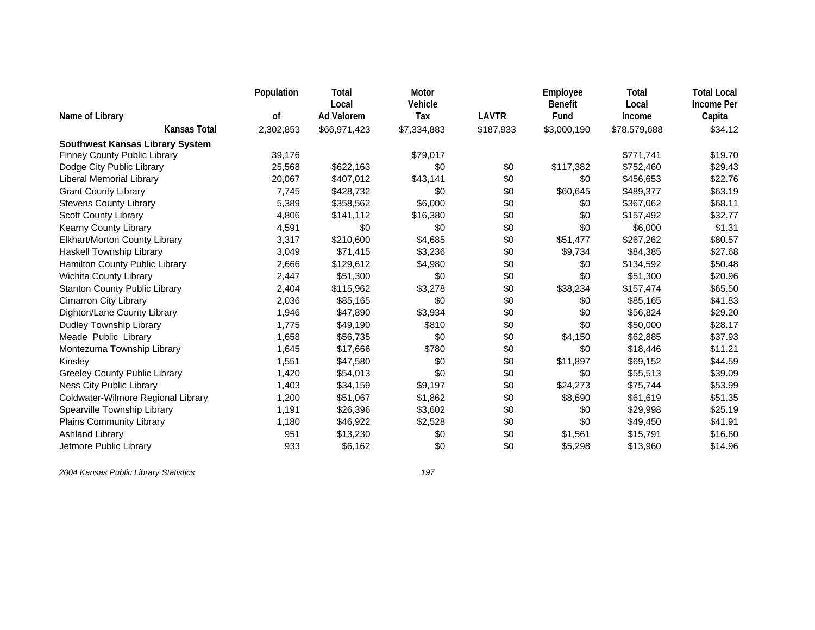|                                        | Population | Total             | Motor       |              | Employee       | Total        | <b>Total Local</b> |
|----------------------------------------|------------|-------------------|-------------|--------------|----------------|--------------|--------------------|
|                                        |            | Local             | Vehicle     | <b>LAVTR</b> | <b>Benefit</b> | Local        | <b>Income Per</b>  |
| Name of Library                        | 0f         | <b>Ad Valorem</b> | Tax         |              | Fund           | Income       | Capita             |
| <b>Kansas Total</b>                    | 2,302,853  | \$66,971,423      | \$7,334,883 | \$187,933    | \$3,000,190    | \$78,579,688 | \$34.12            |
| <b>Southwest Kansas Library System</b> |            |                   |             |              |                |              |                    |
| <b>Finney County Public Library</b>    | 39,176     |                   | \$79,017    |              |                | \$771,741    | \$19.70            |
| Dodge City Public Library              | 25,568     | \$622,163         | \$0         | \$0          | \$117,382      | \$752,460    | \$29.43            |
| Liberal Memorial Library               | 20,067     | \$407,012         | \$43,141    | \$0          | \$0            | \$456,653    | \$22.76            |
| <b>Grant County Library</b>            | 7,745      | \$428,732         | \$0         | \$0          | \$60,645       | \$489,377    | \$63.19            |
| <b>Stevens County Library</b>          | 5,389      | \$358,562         | \$6,000     | \$0          | \$0            | \$367,062    | \$68.11            |
| <b>Scott County Library</b>            | 4,806      | \$141,112         | \$16,380    | \$0          | \$0            | \$157,492    | \$32.77            |
| Kearny County Library                  | 4,591      | \$0               | \$0         | \$0          | \$0            | \$6,000      | \$1.31             |
| Elkhart/Morton County Library          | 3,317      | \$210,600         | \$4,685     | \$0          | \$51,477       | \$267,262    | \$80.57            |
| Haskell Township Library               | 3,049      | \$71,415          | \$3,236     | \$0          | \$9,734        | \$84,385     | \$27.68            |
| Hamilton County Public Library         | 2,666      | \$129,612         | \$4,980     | \$0          | \$0            | \$134,592    | \$50.48            |
| Wichita County Library                 | 2,447      | \$51,300          | \$0         | \$0          | \$0            | \$51,300     | \$20.96            |
| <b>Stanton County Public Library</b>   | 2,404      | \$115,962         | \$3,278     | \$0          | \$38,234       | \$157,474    | \$65.50            |
| <b>Cimarron City Library</b>           | 2,036      | \$85,165          | \$0         | \$0          | \$0            | \$85,165     | \$41.83            |
| Dighton/Lane County Library            | 1,946      | \$47,890          | \$3,934     | \$0          | \$0            | \$56,824     | \$29.20            |
| Dudley Township Library                | 1,775      | \$49,190          | \$810       | \$0          | \$0            | \$50,000     | \$28.17            |
| Meade Public Library                   | 1,658      | \$56,735          | \$0         | \$0          | \$4,150        | \$62,885     | \$37.93            |
| Montezuma Township Library             | 1,645      | \$17,666          | \$780       | \$0          | \$0            | \$18,446     | \$11.21            |
| Kinsley                                | 1,551      | \$47,580          | \$0         | \$0          | \$11,897       | \$69,152     | \$44.59            |
| <b>Greeley County Public Library</b>   | 1,420      | \$54,013          | \$0         | \$0          | \$0            | \$55,513     | \$39.09            |
| Ness City Public Library               | 1,403      | \$34,159          | \$9,197     | \$0          | \$24,273       | \$75,744     | \$53.99            |
| Coldwater-Wilmore Regional Library     | 1,200      | \$51,067          | \$1,862     | \$0          | \$8,690        | \$61,619     | \$51.35            |
| Spearville Township Library            | 1,191      | \$26,396          | \$3,602     | \$0          | \$0            | \$29,998     | \$25.19            |
| Plains Community Library               | 1,180      | \$46,922          | \$2,528     | \$0          | \$0            | \$49,450     | \$41.91            |
| <b>Ashland Library</b>                 | 951        | \$13,230          | \$0         | \$0          | \$1,561        | \$15,791     | \$16.60            |
| Jetmore Public Library                 | 933        | \$6,162           | \$0         | \$0          | \$5,298        | \$13,960     | \$14.96            |